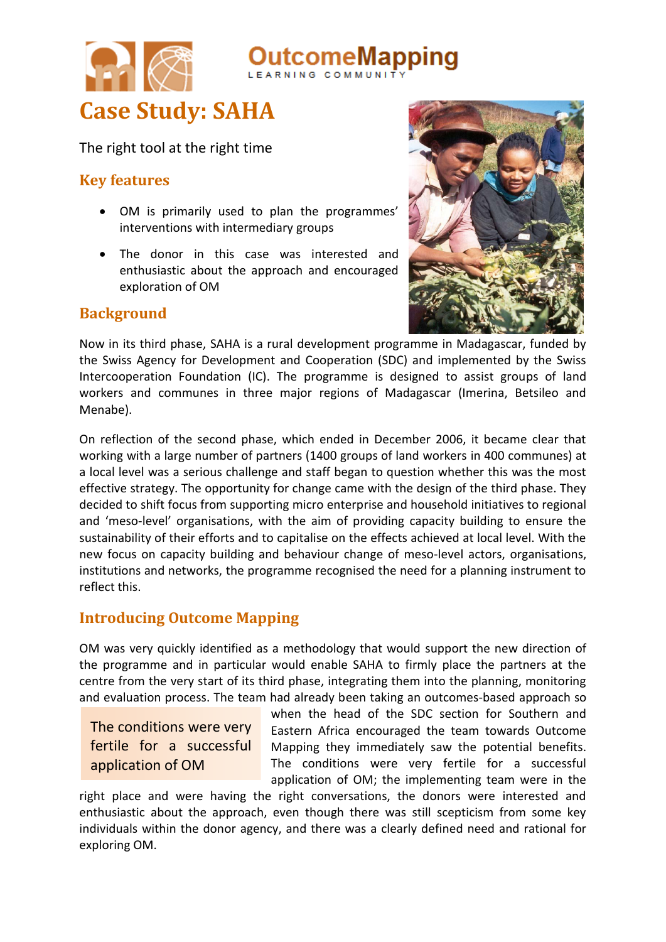



The right tool at the right time

## **Key features**

- OM is primarily used to plan the programmes' interventions with intermediary groups
- The donor in this case was interested and enthusiastic about the approach and encouraged exploration of OM

## **Background**



Now in its third phase, SAHA is a rural development programme in Madagascar, funded by the Swiss Agency for Development and Cooperation (SDC) and implemented by the Swiss Intercooperation Foundation (IC). The programme is designed to assist groups of land workers and communes in three major regions of Madagascar (Imerina, Betsileo and Menabe).

On reflection of the second phase, which ended in December 2006, it became clear that working with a large number of partners (1400 groups of land workers in 400 communes) at a local level was a serious challenge and staff began to question whether this was the most effective strategy. The opportunity for change came with the design of the third phase. They decided to shift focus from supporting micro enterprise and household initiatives to regional and 'meso-level' organisations, with the aim of providing capacity building to ensure the sustainability of their efforts and to capitalise on the effects achieved at local level. With the new focus on capacity building and behaviour change of meso-level actors, organisations, institutions and networks, the programme recognised the need for a planning instrument to reflect this.

# **Introducing Outcome Mapping**

OM was very quickly identified as a methodology that would support the new direction of the programme and in particular would enable SAHA to firmly place the partners at the centre from the very start of its third phase, integrating them into the planning, monitoring and evaluation process. The team had already been taking an outcomes-based approach so

The conditions were very fertile for a successful application of OM

when the head of the SDC section for Southern and Eastern Africa encouraged the team towards Outcome Mapping they immediately saw the potential benefits. The conditions were very fertile for a successful application of OM; the implementing team were in the

right place and were having the right conversations, the donors were interested and enthusiastic about the approach, even though there was still scepticism from some key individuals within the donor agency, and there was a clearly defined need and rational for exploring OM.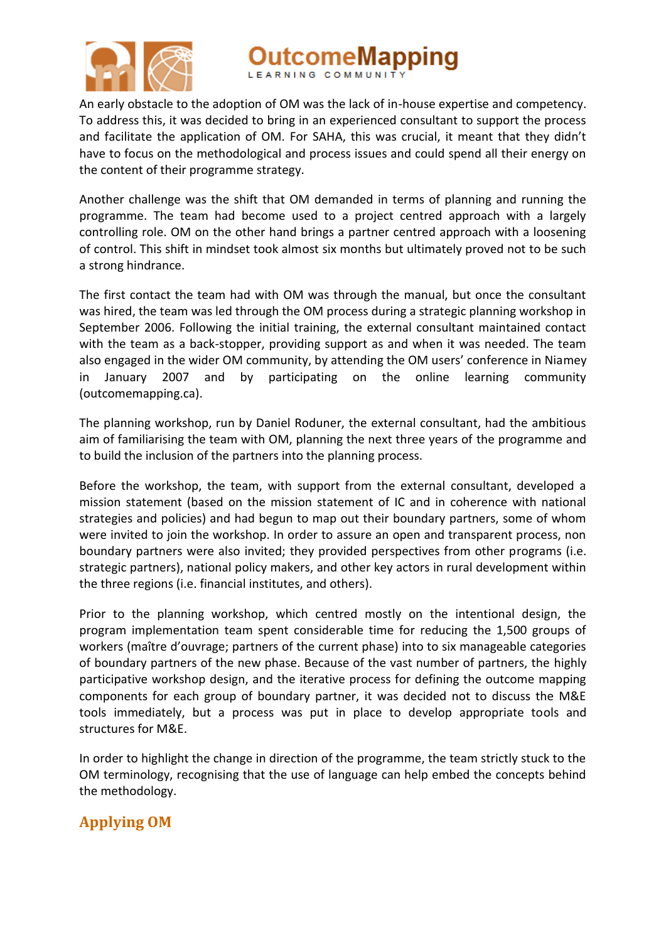

pping

An early obstacle to the adoption of OM was the lack of in-house expertise and competency. To address this, it was decided to bring in an experienced consultant to support the process and facilitate the application of OM. For SAHA, this was crucial, it meant that they didn't have to focus on the methodological and process issues and could spend all their energy on the content of their programme strategy.

Another challenge was the shift that OM demanded in terms of planning and running the programme. The team had become used to a project centred approach with a largely controlling role. OM on the other hand brings a partner centred approach with a loosening of control. This shift in mindset took almost six months but ultimately proved not to be such a strong hindrance.

The first contact the team had with OM was through the manual, but once the consultant was hired, the team was led through the OM process during a strategic planning workshop in September 2006. Following the initial training, the external consultant maintained contact with the team as a back-stopper, providing support as and when it was needed. The team also engaged in the wider OM community, by attending the OM users' conference in Niamey in January 2007 and by participating on the online learning community (outcomemapping.ca).

The planning workshop, run by Daniel Roduner, the external consultant, had the ambitious aim of familiarising the team with OM, planning the next three years of the programme and to build the inclusion of the partners into the planning process.

Before the workshop, the team, with support from the external consultant, developed a mission statement (based on the mission statement of IC and in coherence with national strategies and policies) and had begun to map out their boundary partners, some of whom were invited to join the workshop. In order to assure an open and transparent process, non boundary partners were also invited; they provided perspectives from other programs (i.e. strategic partners), national policy makers, and other key actors in rural development within the three regions (i.e. financial institutes, and others).

Prior to the planning workshop, which centred mostly on the intentional design, the program implementation team spent considerable time for reducing the 1,500 groups of workers (maître d'ouvrage; partners of the current phase) into to six manageable categories of boundary partners of the new phase. Because of the vast number of partners, the highly participative workshop design, and the iterative process for defining the outcome mapping components for each group of boundary partner, it was decided not to discuss the M&E tools immediately, but a process was put in place to develop appropriate tools and structures for M&E.

In order to highlight the change in direction of the programme, the team strictly stuck to the OM terminology, recognising that the use of language can help embed the concepts behind the methodology.

# **Applying OM**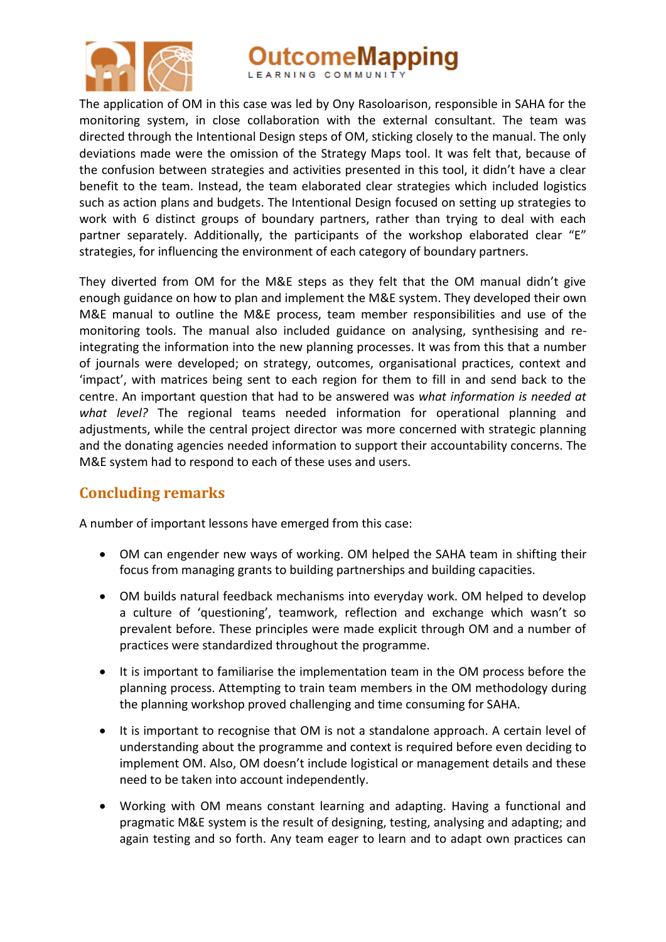

# **utcomeMapping**

The application of OM in this case was led by Ony Rasoloarison, responsible in SAHA for the monitoring system, in close collaboration with the external consultant. The team was directed through the Intentional Design steps of OM, sticking closely to the manual. The only deviations made were the omission of the Strategy Maps tool. It was felt that, because of the confusion between strategies and activities presented in this tool, it didn't have a clear benefit to the team. Instead, the team elaborated clear strategies which included logistics such as action plans and budgets. The Intentional Design focused on setting up strategies to work with 6 distinct groups of boundary partners, rather than trying to deal with each partner separately. Additionally, the participants of the workshop elaborated clear "E" strategies, for influencing the environment of each category of boundary partners.

They diverted from OM for the M&E steps as they felt that the OM manual didn't give enough guidance on how to plan and implement the M&E system. They developed their own M&E manual to outline the M&E process, team member responsibilities and use of the monitoring tools. The manual also included guidance on analysing, synthesising and reintegrating the information into the new planning processes. It was from this that a number of journals were developed; on strategy, outcomes, organisational practices, context and 'impact', with matrices being sent to each region for them to fill in and send back to the centre. An important question that had to be answered was *what information is needed at what level?* The regional teams needed information for operational planning and adjustments, while the central project director was more concerned with strategic planning and the donating agencies needed information to support their accountability concerns. The M&E system had to respond to each of these uses and users.

## **Concluding remarks**

A number of important lessons have emerged from this case:

- OM can engender new ways of working. OM helped the SAHA team in shifting their focus from managing grants to building partnerships and building capacities.
- OM builds natural feedback mechanisms into everyday work. OM helped to develop a culture of 'questioning', teamwork, reflection and exchange which wasn't so prevalent before. These principles were made explicit through OM and a number of practices were standardized throughout the programme.
- It is important to familiarise the implementation team in the OM process before the planning process. Attempting to train team members in the OM methodology during the planning workshop proved challenging and time consuming for SAHA.
- It is important to recognise that OM is not a standalone approach. A certain level of understanding about the programme and context is required before even deciding to implement OM. Also, OM doesn't include logistical or management details and these need to be taken into account independently.
- Working with OM means constant learning and adapting. Having a functional and pragmatic M&E system is the result of designing, testing, analysing and adapting; and again testing and so forth. Any team eager to learn and to adapt own practices can